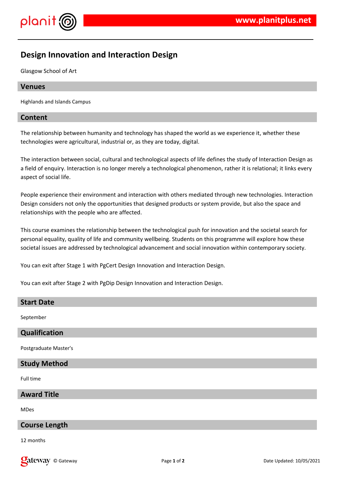

# **Design Innovation and Interaction Design**

Glasgow School of Art

### **Venues**

Highlands and Islands Campus

#### **Content**

The relationship between humanity and technology has shaped the world as we experience it, whether these technologies were agricultural, industrial or, as they are today, digital.

The interaction between social, cultural and technological aspects of life defines the study of Interaction Design as a field of enquiry. Interaction is no longer merely a technological phenomenon, rather it is relational; it links every aspect of social life.

People experience their environment and interaction with others mediated through new technologies. Interaction Design considers not only the opportunities that designed products or system provide, but also the space and relationships with the people who are affected.

This course examines the relationship between the technological push for innovation and the societal search for personal equality, quality of life and community wellbeing. Students on this programme will explore how these societal issues are addressed by technological advancement and social innovation within contemporary society.

You can exit after Stage 1 with PgCert Design Innovation and Interaction Design.

You can exit after Stage 2 with PgDip Design Innovation and Interaction Design.

#### **Start Date**

September

#### **Qualification**

Postgraduate Master's

#### **Study Method**

Full time

# **Award Title**

MDes

#### **Course Length**

12 months